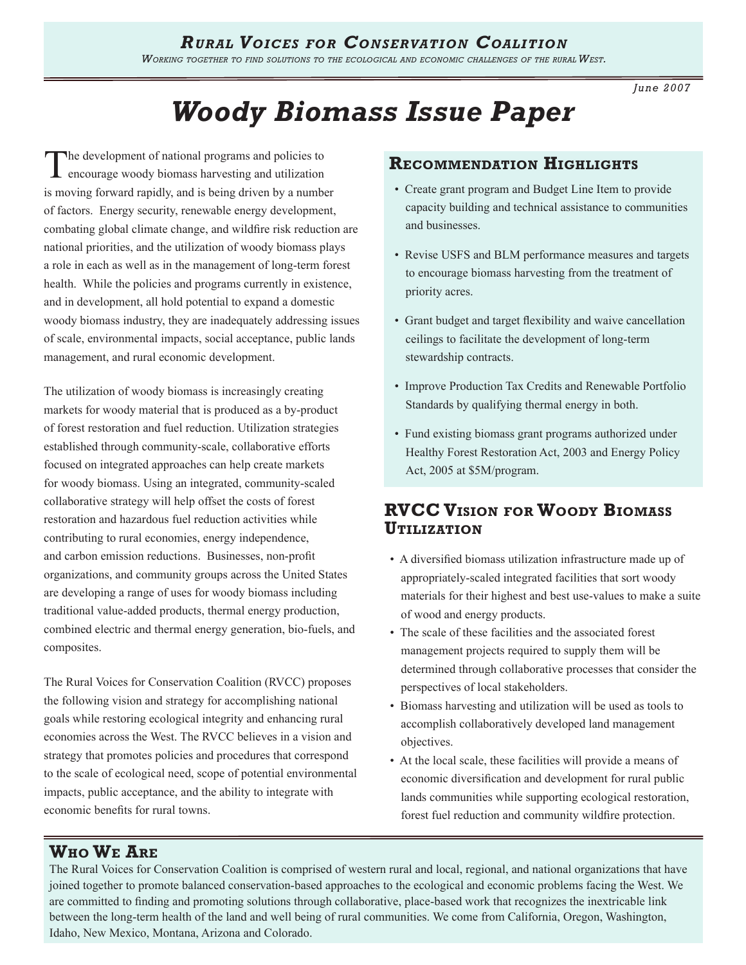*Working together to find solutions to the ecological and economic challenges of the rural West.* 

*June 2007*

# *Woody Biomass Issue Paper*

The development of national programs and policies to encourage woody biomass harvesting and utilization is moving forward rapidly, and is being driven by a number of factors. Energy security, renewable energy development, combating global climate change, and wildfire risk reduction are national priorities, and the utilization of woody biomass plays a role in each as well as in the management of long-term forest health. While the policies and programs currently in existence, and in development, all hold potential to expand a domestic woody biomass industry, they are inadequately addressing issues of scale, environmental impacts, social acceptance, public lands management, and rural economic development.

The utilization of woody biomass is increasingly creating markets for woody material that is produced as a by-product of forest restoration and fuel reduction. Utilization strategies established through community-scale, collaborative efforts focused on integrated approaches can help create markets for woody biomass. Using an integrated, community-scaled collaborative strategy will help offset the costs of forest restoration and hazardous fuel reduction activities while contributing to rural economies, energy independence, and carbon emission reductions. Businesses, non-profit organizations, and community groups across the United States are developing a range of uses for woody biomass including traditional value-added products, thermal energy production, combined electric and thermal energy generation, bio-fuels, and composites.

The Rural Voices for Conservation Coalition (RVCC) proposes the following vision and strategy for accomplishing national goals while restoring ecological integrity and enhancing rural economies across the West. The RVCC believes in a vision and strategy that promotes policies and procedures that correspond to the scale of ecological need, scope of potential environmental impacts, public acceptance, and the ability to integrate with economic benefits for rural towns.

#### **Recommendation Highlights**

- Create grant program and Budget Line Item to provide capacity building and technical assistance to communities and businesses.
- Revise USFS and BLM performance measures and targets to encourage biomass harvesting from the treatment of priority acres.
- Grant budget and target flexibility and waive cancellation ceilings to facilitate the development of long-term stewardship contracts.
- Improve Production Tax Credits and Renewable Portfolio Standards by qualifying thermal energy in both.
- Fund existing biomass grant programs authorized under Healthy Forest Restoration Act, 2003 and Energy Policy Act, 2005 at \$5M/program.

## **RVCC Vision for Woody Biomass Utilization**

- A diversified biomass utilization infrastructure made up of appropriately-scaled integrated facilities that sort woody materials for their highest and best use-values to make a suite of wood and energy products.
- The scale of these facilities and the associated forest management projects required to supply them will be determined through collaborative processes that consider the perspectives of local stakeholders.
- Biomass harvesting and utilization will be used as tools to accomplish collaboratively developed land management objectives.
- At the local scale, these facilities will provide a means of economic diversification and development for rural public lands communities while supporting ecological restoration, forest fuel reduction and community wildfire protection.

## **Who We Are**

The Rural Voices for Conservation Coalition is comprised of western rural and local, regional, and national organizations that have joined together to promote balanced conservation-based approaches to the ecological and economic problems facing the West. We are committed to finding and promoting solutions through collaborative, place-based work that recognizes the inextricable link between the long-term health of the land and well being of rural communities. We come from California, Oregon, Washington, Idaho, New Mexico, Montana, Arizona and Colorado.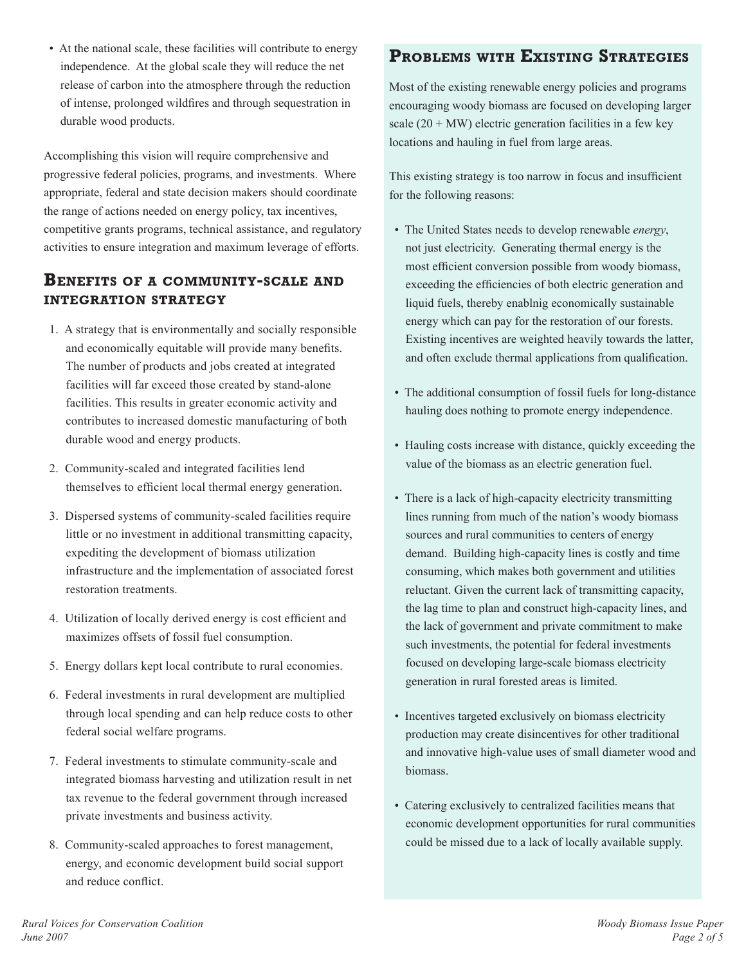• At the national scale, these facilities will contribute to energy independence. At the global scale they will reduce the net release of carbon into the atmosphere through the reduction of intense, prolonged wildfires and through sequestration in durable wood products.

Accomplishing this vision will require comprehensive and progressive federal policies, programs, and investments. Where appropriate, federal and state decision makers should coordinate the range of actions needed on energy policy, tax incentives, competitive grants programs, technical assistance, and regulatory activities to ensure integration and maximum leverage of efforts.

## **Benefits of <sup>a</sup> community-scale and integration strategy**

- 1. A strategy that is environmentally and socially responsible and economically equitable will provide many benefits. The number of products and jobs created at integrated facilities will far exceed those created by stand-alone facilities. This results in greater economic activity and contributes to increased domestic manufacturing of both durable wood and energy products.
- 2. Community-scaled and integrated facilities lend themselves to efficient local thermal energy generation.
- 3. Dispersed systems of community-scaled facilities require little or no investment in additional transmitting capacity, expediting the development of biomass utilization infrastructure and the implementation of associated forest restoration treatments.
- 4. Utilization of locally derived energy is cost efficient and maximizes offsets of fossil fuel consumption.
- 5. Energy dollars kept local contribute to rural economies.
- 6. Federal investments in rural development are multiplied through local spending and can help reduce costs to other federal social welfare programs.
- 7. Federal investments to stimulate community-scale and integrated biomass harvesting and utilization result in net tax revenue to the federal government through increased private investments and business activity.
- 8. Community-scaled approaches to forest management, energy, and economic development build social support and reduce conflict.

## **Problems with Existing Strategies**

Most of the existing renewable energy policies and programs encouraging woody biomass are focused on developing larger scale  $(20 + MW)$  electric generation facilities in a few key locations and hauling in fuel from large areas.

This existing strategy is too narrow in focus and insufficient for the following reasons:

- The United States needs to develop renewable *energy*, not just electricity. Generating thermal energy is the most efficient conversion possible from woody biomass, exceeding the efficiencies of both electric generation and liquid fuels, thereby enablnig economically sustainable energy which can pay for the restoration of our forests. Existing incentives are weighted heavily towards the latter, and often exclude thermal applications from qualification.
- The additional consumption of fossil fuels for long-distance hauling does nothing to promote energy independence.
- Hauling costs increase with distance, quickly exceeding the value of the biomass as an electric generation fuel.
- There is a lack of high-capacity electricity transmitting lines running from much of the nation's woody biomass sources and rural communities to centers of energy demand. Building high-capacity lines is costly and time consuming, which makes both government and utilities reluctant. Given the current lack of transmitting capacity, the lag time to plan and construct high-capacity lines, and the lack of government and private commitment to make such investments, the potential for federal investments focused on developing large-scale biomass electricity generation in rural forested areas is limited.
- Incentives targeted exclusively on biomass electricity production may create disincentives for other traditional and innovative high-value uses of small diameter wood and biomass.
- Catering exclusively to centralized facilities means that economic development opportunities for rural communities could be missed due to a lack of locally available supply.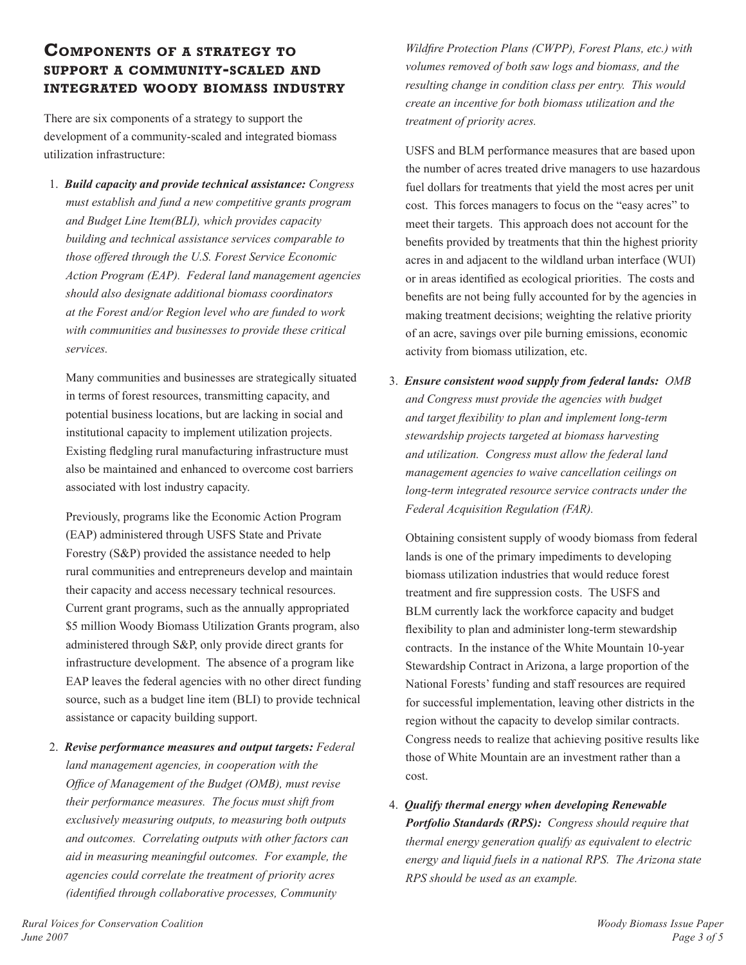### **Components of <sup>a</sup> strategy to support <sup>a</sup> community-scaled and integrated woody biomass industry**

There are six components of a strategy to support the development of a community-scaled and integrated biomass utilization infrastructure:

1. *Build capacity and provide technical assistance: Congress must establish and fund a new competitive grants program and Budget Line Item(BLI), which provides capacity building and technical assistance services comparable to those offered through the U.S. Forest Service Economic Action Program (EAP). Federal land management agencies should also designate additional biomass coordinators at the Forest and/or Region level who are funded to work with communities and businesses to provide these critical services.*

Many communities and businesses are strategically situated in terms of forest resources, transmitting capacity, and potential business locations, but are lacking in social and institutional capacity to implement utilization projects. Existing fledgling rural manufacturing infrastructure must also be maintained and enhanced to overcome cost barriers associated with lost industry capacity.

Previously, programs like the Economic Action Program (EAP) administered through USFS State and Private Forestry (S&P) provided the assistance needed to help rural communities and entrepreneurs develop and maintain their capacity and access necessary technical resources. Current grant programs, such as the annually appropriated \$5 million Woody Biomass Utilization Grants program, also administered through S&P, only provide direct grants for infrastructure development. The absence of a program like EAP leaves the federal agencies with no other direct funding source, such as a budget line item (BLI) to provide technical assistance or capacity building support.

2. *Revise performance measures and output targets: Federal land management agencies, in cooperation with the Office of Management of the Budget (OMB), must revise their performance measures. The focus must shift from exclusively measuring outputs, to measuring both outputs and outcomes. Correlating outputs with other factors can aid in measuring meaningful outcomes. For example, the agencies could correlate the treatment of priority acres (identified through collaborative processes, Community* 

*Wildfire Protection Plans (CWPP), Forest Plans, etc.) with volumes removed of both saw logs and biomass, and the resulting change in condition class per entry. This would create an incentive for both biomass utilization and the treatment of priority acres.* 

USFS and BLM performance measures that are based upon the number of acres treated drive managers to use hazardous fuel dollars for treatments that yield the most acres per unit cost. This forces managers to focus on the "easy acres" to meet their targets. This approach does not account for the benefits provided by treatments that thin the highest priority acres in and adjacent to the wildland urban interface (WUI) or in areas identified as ecological priorities. The costs and benefits are not being fully accounted for by the agencies in making treatment decisions; weighting the relative priority of an acre, savings over pile burning emissions, economic activity from biomass utilization, etc.

3. *Ensure consistent wood supply from federal lands: OMB and Congress must provide the agencies with budget and target flexibility to plan and implement long-term stewardship projects targeted at biomass harvesting and utilization. Congress must allow the federal land management agencies to waive cancellation ceilings on long-term integrated resource service contracts under the Federal Acquisition Regulation (FAR).* 

Obtaining consistent supply of woody biomass from federal lands is one of the primary impediments to developing biomass utilization industries that would reduce forest treatment and fire suppression costs. The USFS and BLM currently lack the workforce capacity and budget flexibility to plan and administer long-term stewardship contracts. In the instance of the White Mountain 10-year Stewardship Contract in Arizona, a large proportion of the National Forests' funding and staff resources are required for successful implementation, leaving other districts in the region without the capacity to develop similar contracts. Congress needs to realize that achieving positive results like those of White Mountain are an investment rather than a cost.

4. *Qualify thermal energy when developing Renewable Portfolio Standards (RPS): Congress should require that thermal energy generation qualify as equivalent to electric energy and liquid fuels in a national RPS. The Arizona state RPS should be used as an example.*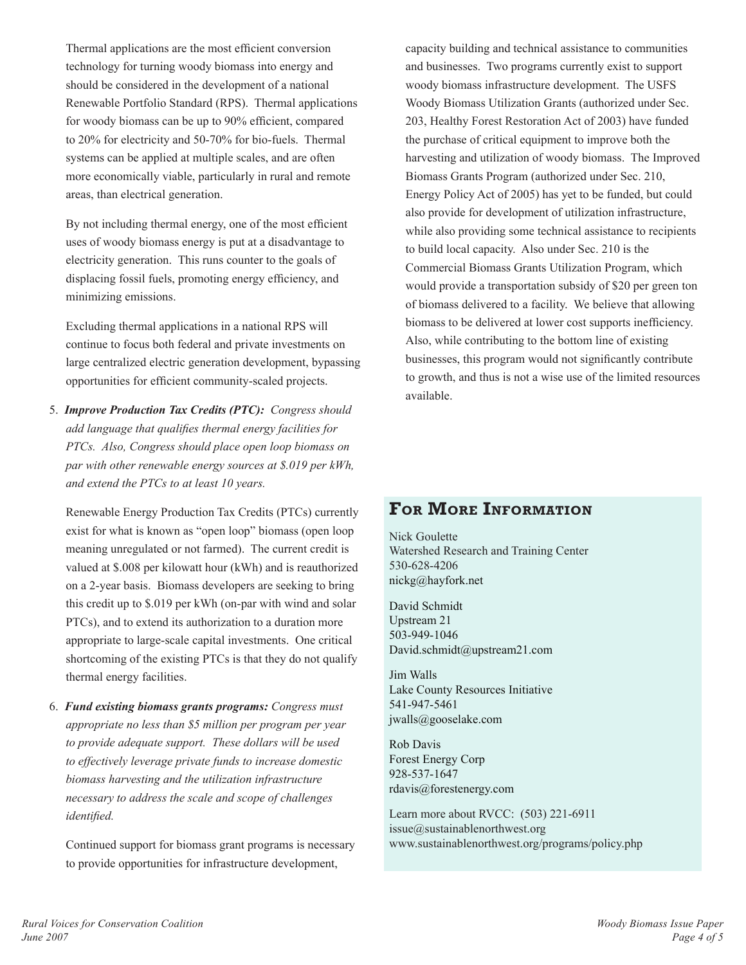Thermal applications are the most efficient conversion technology for turning woody biomass into energy and should be considered in the development of a national Renewable Portfolio Standard (RPS). Thermal applications for woody biomass can be up to 90% efficient, compared to 20% for electricity and 50-70% for bio-fuels. Thermal systems can be applied at multiple scales, and are often more economically viable, particularly in rural and remote areas, than electrical generation.

By not including thermal energy, one of the most efficient uses of woody biomass energy is put at a disadvantage to electricity generation. This runs counter to the goals of displacing fossil fuels, promoting energy efficiency, and minimizing emissions.

Excluding thermal applications in a national RPS will continue to focus both federal and private investments on large centralized electric generation development, bypassing opportunities for efficient community-scaled projects.

5. *Improve Production Tax Credits (PTC): Congress should add language that qualifies thermal energy facilities for PTCs. Also, Congress should place open loop biomass on par with other renewable energy sources at \$.019 per kWh, and extend the PTCs to at least 10 years.*

Renewable Energy Production Tax Credits (PTCs) currently exist for what is known as "open loop" biomass (open loop meaning unregulated or not farmed). The current credit is valued at \$.008 per kilowatt hour (kWh) and is reauthorized on a 2-year basis. Biomass developers are seeking to bring this credit up to \$.019 per kWh (on-par with wind and solar PTCs), and to extend its authorization to a duration more appropriate to large-scale capital investments. One critical shortcoming of the existing PTCs is that they do not qualify thermal energy facilities.

6. *Fund existing biomass grants programs: Congress must appropriate no less than \$5 million per program per year to provide adequate support. These dollars will be used to effectively leverage private funds to increase domestic biomass harvesting and the utilization infrastructure necessary to address the scale and scope of challenges identified.*

Continued support for biomass grant programs is necessary to provide opportunities for infrastructure development,

capacity building and technical assistance to communities and businesses. Two programs currently exist to support woody biomass infrastructure development. The USFS Woody Biomass Utilization Grants (authorized under Sec. 203, Healthy Forest Restoration Act of 2003) have funded the purchase of critical equipment to improve both the harvesting and utilization of woody biomass. The Improved Biomass Grants Program (authorized under Sec. 210, Energy Policy Act of 2005) has yet to be funded, but could also provide for development of utilization infrastructure, while also providing some technical assistance to recipients to build local capacity. Also under Sec. 210 is the Commercial Biomass Grants Utilization Program, which would provide a transportation subsidy of \$20 per green ton of biomass delivered to a facility. We believe that allowing biomass to be delivered at lower cost supports inefficiency. Also, while contributing to the bottom line of existing businesses, this program would not significantly contribute to growth, and thus is not a wise use of the limited resources available.

## **For More Information**

Nick Goulette Watershed Research and Training Center 530-628-4206 nickg@hayfork.net

David Schmidt Upstream 21 503-949-1046 David.schmidt@upstream21.com

Jim Walls Lake County Resources Initiative 541-947-5461 jwalls@gooselake.com

Rob Davis Forest Energy Corp 928-537-1647 rdavis@forestenergy.com

Learn more about RVCC: (503) 221-6911  $is sue@sustainable northwest.org$ www.sustainablenorthwest.org/programs/policy.php